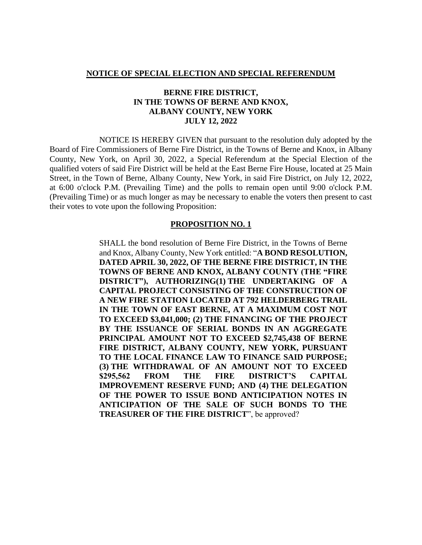#### **NOTICE OF SPECIAL ELECTION AND SPECIAL REFERENDUM**

## **BERNE FIRE DISTRICT, IN THE TOWNS OF BERNE AND KNOX, ALBANY COUNTY, NEW YORK JULY 12, 2022**

NOTICE IS HEREBY GIVEN that pursuant to the resolution duly adopted by the Board of Fire Commissioners of Berne Fire District, in the Towns of Berne and Knox, in Albany County, New York, on April 30, 2022, a Special Referendum at the Special Election of the qualified voters of said Fire District will be held at the East Berne Fire House, located at 25 Main Street, in the Town of Berne, Albany County, New York, in said Fire District, on July 12, 2022, at 6:00 o'clock P.M. (Prevailing Time) and the polls to remain open until 9:00 o'clock P.M. (Prevailing Time) or as much longer as may be necessary to enable the voters then present to cast their votes to vote upon the following Proposition:

#### **PROPOSITION NO. 1**

SHALL the bond resolution of Berne Fire District, in the Towns of Berne and Knox, Albany County, New York entitled: "**A BOND RESOLUTION, DATED APRIL 30, 2022, OF THE BERNE FIRE DISTRICT, IN THE TOWNS OF BERNE AND KNOX, ALBANY COUNTY (THE "FIRE DISTRICT"), AUTHORIZING(1) THE UNDERTAKING OF A CAPITAL PROJECT CONSISTING OF THE CONSTRUCTION OF A NEW FIRE STATION LOCATED AT 792 HELDERBERG TRAIL IN THE TOWN OF EAST BERNE, AT A MAXIMUM COST NOT TO EXCEED \$3,041,000; (2) THE FINANCING OF THE PROJECT BY THE ISSUANCE OF SERIAL BONDS IN AN AGGREGATE PRINCIPAL AMOUNT NOT TO EXCEED \$2,745,438 OF BERNE FIRE DISTRICT, ALBANY COUNTY, NEW YORK, PURSUANT TO THE LOCAL FINANCE LAW TO FINANCE SAID PURPOSE; (3) THE WITHDRAWAL OF AN AMOUNT NOT TO EXCEED \$295,562 FROM THE FIRE DISTRICT'S CAPITAL IMPROVEMENT RESERVE FUND; AND (4) THE DELEGATION OF THE POWER TO ISSUE BOND ANTICIPATION NOTES IN ANTICIPATION OF THE SALE OF SUCH BONDS TO THE TREASURER OF THE FIRE DISTRICT**", be approved?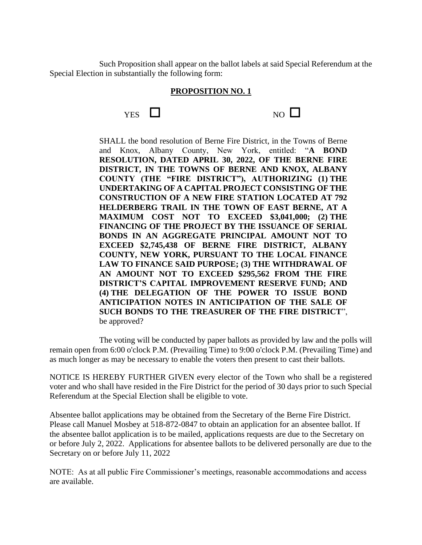Such Proposition shall appear on the ballot labels at said Special Referendum at the Special Election in substantially the following form:

### **PROPOSITION NO. 1**



SHALL the bond resolution of Berne Fire District, in the Towns of Berne and Knox, Albany County, New York, entitled: "**A BOND RESOLUTION, DATED APRIL 30, 2022, OF THE BERNE FIRE DISTRICT, IN THE TOWNS OF BERNE AND KNOX, ALBANY COUNTY (THE "FIRE DISTRICT"), AUTHORIZING (1) THE UNDERTAKING OF A CAPITAL PROJECT CONSISTING OF THE CONSTRUCTION OF A NEW FIRE STATION LOCATED AT 792 HELDERBERG TRAIL IN THE TOWN OF EAST BERNE, AT A MAXIMUM COST NOT TO EXCEED \$3,041,000; (2) THE FINANCING OF THE PROJECT BY THE ISSUANCE OF SERIAL BONDS IN AN AGGREGATE PRINCIPAL AMOUNT NOT TO EXCEED \$2,745,438 OF BERNE FIRE DISTRICT, ALBANY COUNTY, NEW YORK, PURSUANT TO THE LOCAL FINANCE LAW TO FINANCE SAID PURPOSE; (3) THE WITHDRAWAL OF AN AMOUNT NOT TO EXCEED \$295,562 FROM THE FIRE DISTRICT'S CAPITAL IMPROVEMENT RESERVE FUND; AND (4) THE DELEGATION OF THE POWER TO ISSUE BOND ANTICIPATION NOTES IN ANTICIPATION OF THE SALE OF SUCH BONDS TO THE TREASURER OF THE FIRE DISTRICT**", be approved?

The voting will be conducted by paper ballots as provided by law and the polls will remain open from 6:00 o'clock P.M. (Prevailing Time) to 9:00 o'clock P.M. (Prevailing Time) and as much longer as may be necessary to enable the voters then present to cast their ballots.

NOTICE IS HEREBY FURTHER GIVEN every elector of the Town who shall be a registered voter and who shall have resided in the Fire District for the period of 30 days prior to such Special Referendum at the Special Election shall be eligible to vote.

Absentee ballot applications may be obtained from the Secretary of the Berne Fire District. Please call Manuel Mosbey at 518-872-0847 to obtain an application for an absentee ballot. If the absentee ballot application is to be mailed, applications requests are due to the Secretary on or before July 2, 2022. Applications for absentee ballots to be delivered personally are due to the Secretary on or before July 11, 2022

NOTE: As at all public Fire Commissioner's meetings, reasonable accommodations and access are available.